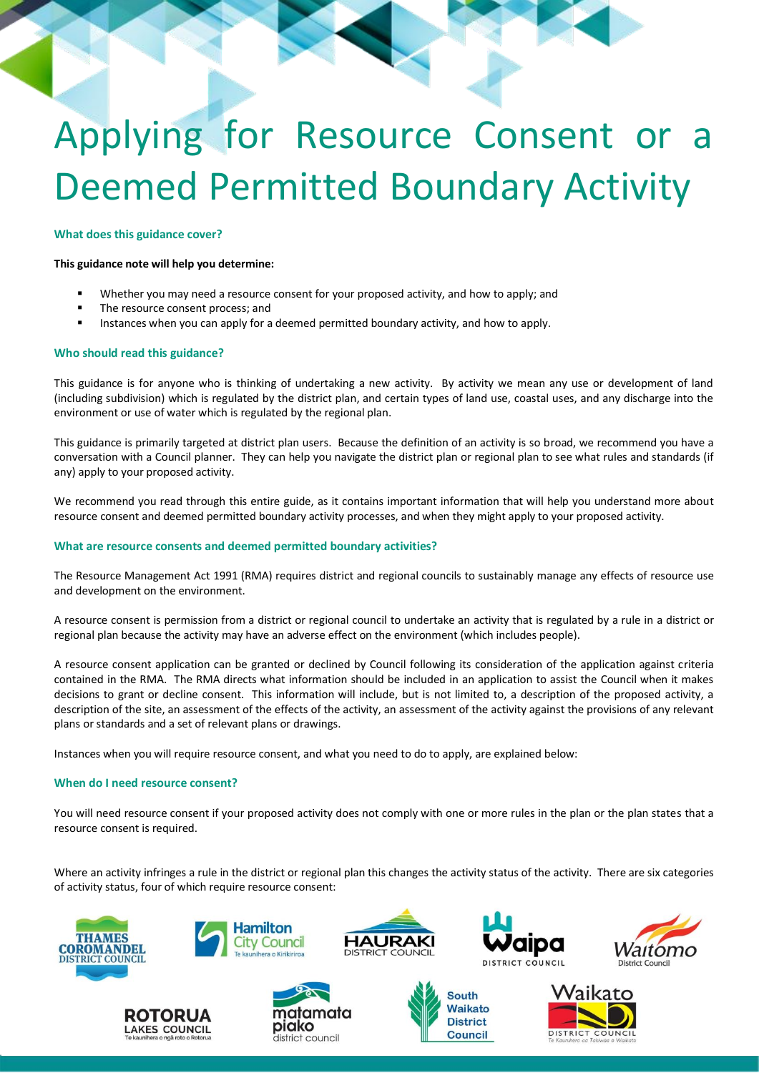# Applying for Resource Consent or a Deemed Permitted Boundary Activity

#### **What does this guidance cover?**

#### **This guidance note will help you determine:**

- Whether you may need a resource consent for your proposed activity, and how to apply; and
- The resource consent process; and
- Instances when you can apply for a deemed permitted boundary activity, and how to apply.

#### **Who should read this guidance?**

This guidance is for anyone who is thinking of undertaking a new activity. By activity we mean any use or development of land (including subdivision) which is regulated by the district plan, and certain types of land use, coastal uses, and any discharge into the environment or use of water which is regulated by the regional plan.

This guidance is primarily targeted at district plan users. Because the definition of an activity is so broad, we recommend you have a conversation with a Council planner. They can help you navigate the district plan or regional plan to see what rules and standards (if any) apply to your proposed activity.

We recommend you read through this entire guide, as it contains important information that will help you understand more about resource consent and deemed permitted boundary activity processes, and when they might apply to your proposed activity.

# **What are resource consents and deemed permitted boundary activities?**

The Resource Management Act 1991 (RMA) requires district and regional councils to sustainably manage any effects of resource use and development on the environment.

A resource consent is permission from a district or regional council to undertake an activity that is regulated by a rule in a district or regional plan because the activity may have an adverse effect on the environment (which includes people).

A resource consent application can be granted or declined by Council following its consideration of the application against criteria contained in the RMA. The RMA directs what information should be included in an application to assist the Council when it makes decisions to grant or decline consent. This information will include, but is not limited to, a description of the proposed activity, a description of the site, an assessment of the effects of the activity, an assessment of the activity against the provisions of any relevant plans or standards and a set of relevant plans or drawings.

Instances when you will require resource consent, and what you need to do to apply, are explained below:

# **When do I need resource consent?**

You will need resource consent if your proposed activity does not comply with one or more rules in the plan or the plan states that a resource consent is required.

Where an activity infringes a rule in the district or regional plan this changes the activity status of the activity. There are six categories of activity status, four of which require resource consent:







**Hamilton** 

**City Council** 



**South** Waikato

**District** 

**Council** 





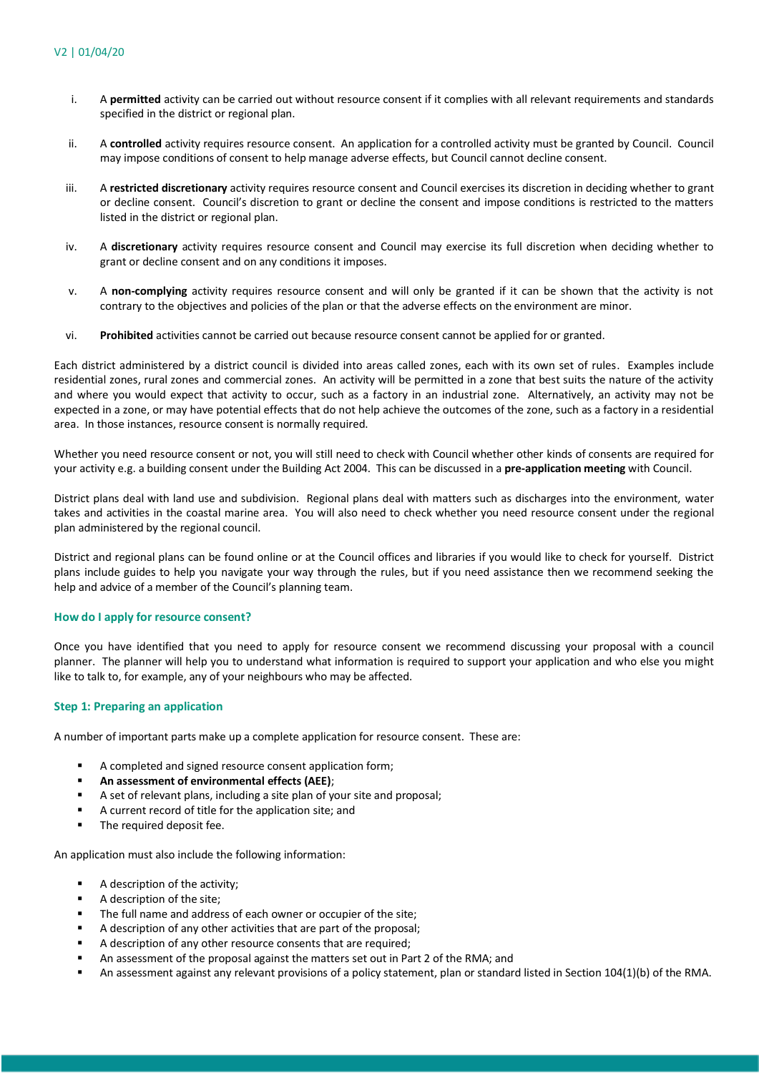- i. A **permitted** activity can be carried out without resource consent if it complies with all relevant requirements and standards specified in the district or regional plan.
- ii. A **controlled** activity requires resource consent. An application for a controlled activity must be granted by Council. Council may impose conditions of consent to help manage adverse effects, but Council cannot decline consent.
- iii. A **restricted discretionary** activity requires resource consent and Council exercises its discretion in deciding whether to grant or decline consent. Council's discretion to grant or decline the consent and impose conditions is restricted to the matters listed in the district or regional plan.
- iv. A **discretionary** activity requires resource consent and Council may exercise its full discretion when deciding whether to grant or decline consent and on any conditions it imposes.
- v. A **non-complying** activity requires resource consent and will only be granted if it can be shown that the activity is not contrary to the objectives and policies of the plan or that the adverse effects on the environment are minor.
- vi. **Prohibited** activities cannot be carried out because resource consent cannot be applied for or granted.

Each district administered by a district council is divided into areas called zones, each with its own set of rules. Examples include residential zones, rural zones and commercial zones. An activity will be permitted in a zone that best suits the nature of the activity and where you would expect that activity to occur, such as a factory in an industrial zone. Alternatively, an activity may not be expected in a zone, or may have potential effects that do not help achieve the outcomes of the zone, such as a factory in a residential area. In those instances, resource consent is normally required.

Whether you need resource consent or not, you will still need to check with Council whether other kinds of consents are required for your activity e.g. a building consent under the Building Act 2004. This can be discussed in a **pre-application meeting** with Council.

District plans deal with land use and subdivision. Regional plans deal with matters such as discharges into the environment, water takes and activities in the coastal marine area. You will also need to check whether you need resource consent under the regional plan administered by the regional council.

District and regional plans can be found online or at the Council offices and libraries if you would like to check for yourself. District plans include guides to help you navigate your way through the rules, but if you need assistance then we recommend seeking the help and advice of a member of the Council's planning team.

# **How do I apply for resource consent?**

Once you have identified that you need to apply for resource consent we recommend discussing your proposal with a council planner. The planner will help you to understand what information is required to support your application and who else you might like to talk to, for example, any of your neighbours who may be affected.

# **Step 1: Preparing an application**

A number of important parts make up a complete application for resource consent. These are:

- A completed and signed resource consent application form;
- **An assessment of environmental effects (AEE)**;
- A set of relevant plans, including a site plan of your site and proposal;
- A current record of title for the application site; and
- **The required deposit fee.**

An application must also include the following information:

- A description of the activity;
- A description of the site;
- The full name and address of each owner or occupier of the site;
- A description of any other activities that are part of the proposal;
- A description of any other resource consents that are required;
- An assessment of the proposal against the matters set out in Part 2 of the RMA; and
- An assessment against any relevant provisions of a policy statement, plan or standard listed in Section 104(1)(b) of the RMA.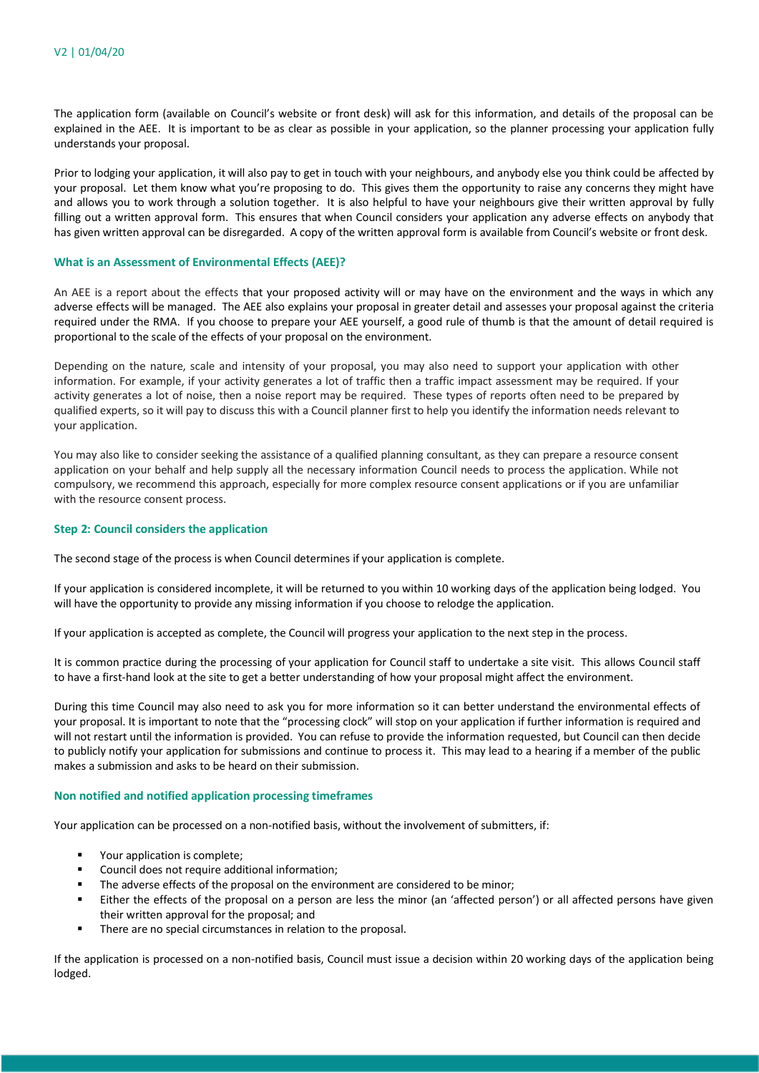The application form (available on Council's website or front desk) will ask for this information, and details of the proposal can be explained in the AEE. It is important to be as clear as possible in your application, so the planner processing your application fully understands your proposal.

Prior to lodging your application, it will also pay to get in touch with your neighbours, and anybody else you think could be affected by your proposal. Let them know what you're proposing to do. This gives them the opportunity to raise any concerns they might have and allows you to work through a solution together. It is also helpful to have your neighbours give their written approval by fully filling out a written approval form. This ensures that when Council considers your application any adverse effects on anybody that has given written approval can be disregarded. A copy of the written approval form is available from Council's website or front desk.

#### **What is an Assessment of Environmental Effects (AEE)?**

An AEE is a report about the effects that your proposed activity will or may have on the environment and the ways in which any adverse effects will be managed. The AEE also explains your proposal in greater detail and assesses your proposal against the criteria required under the RMA. If you choose to prepare your AEE yourself, a good rule of thumb is that the amount of detail required is proportional to the scale of the effects of your proposal on the environment.

Depending on the nature, scale and intensity of your proposal, you may also need to support your application with other information. For example, if your activity generates a lot of traffic then a traffic impact assessment may be required. If your activity generates a lot of noise, then a noise report may be required. These types of reports often need to be prepared by qualified experts, so it will pay to discuss this with a Council planner first to help you identify the information needs relevant to your application.

You may also like to consider seeking the assistance of a qualified planning consultant, as they can prepare a resource consent application on your behalf and help supply all the necessary information Council needs to process the application. While not compulsory, we recommend this approach, especially for more complex resource consent applications or if you are unfamiliar with the resource consent process.

#### **Step 2: Council considers the application**

The second stage of the process is when Council determines if your application is complete.

If your application is considered incomplete, it will be returned to you within 10 working days of the application being lodged. You will have the opportunity to provide any missing information if you choose to relodge the application.

If your application is accepted as complete, the Council will progress your application to the next step in the process.

It is common practice during the processing of your application for Council staff to undertake a site visit. This allows Council staff to have a first-hand look at the site to get a better understanding of how your proposal might affect the environment.

During this time Council may also need to ask you for more information so it can better understand the environmental effects of your proposal. It is important to note that the "processing clock" will stop on your application if further information is required and will not restart until the information is provided. You can refuse to provide the information requested, but Council can then decide to publicly notify your application for submissions and continue to process it. This may lead to a hearing if a member of the public makes a submission and asks to be heard on their submission.

#### **Non notified and notified application processing timeframes**

Your application can be processed on a non-notified basis, without the involvement of submitters, if:

- Your application is complete;
- Council does not require additional information;
- The adverse effects of the proposal on the environment are considered to be minor;
- Either the effects of the proposal on a person are less the minor (an 'affected person') or all affected persons have given their written approval for the proposal; and
- **There are no special circumstances in relation to the proposal.**

If the application is processed on a non-notified basis, Council must issue a decision within 20 working days of the application being lodged.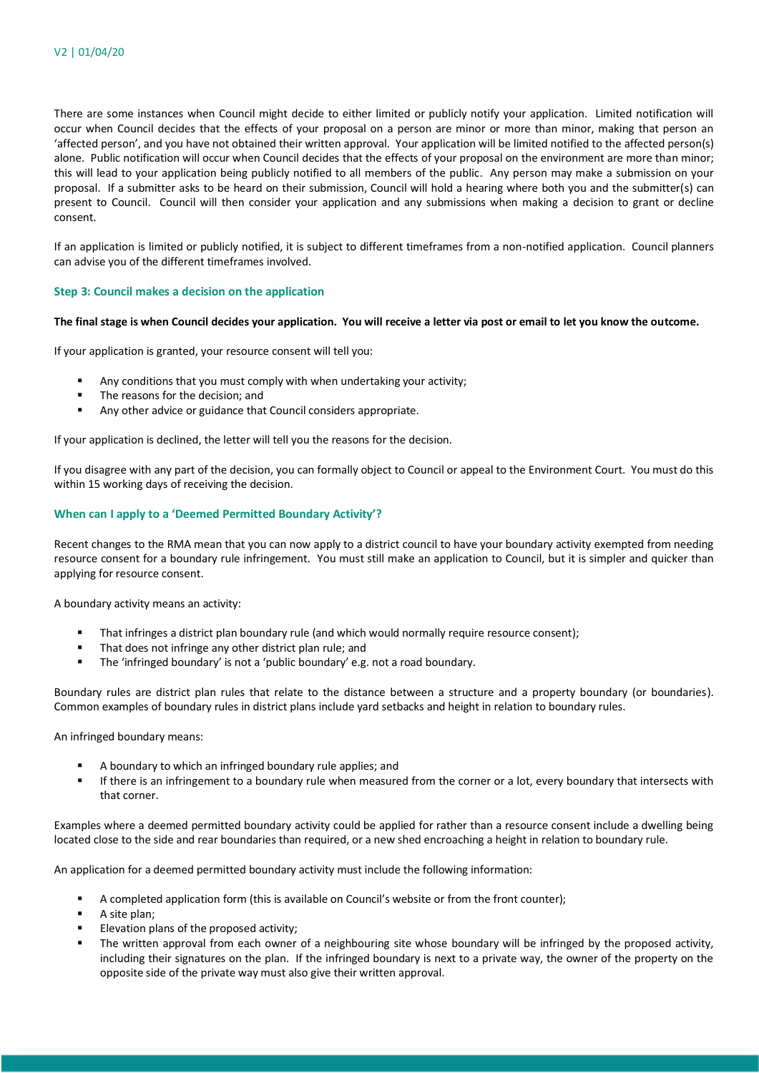There are some instances when Council might decide to either limited or publicly notify your application. Limited notification will occur when Council decides that the effects of your proposal on a person are minor or more than minor, making that person an 'affected person', and you have not obtained their written approval. Your application will be limited notified to the affected person(s) alone. Public notification will occur when Council decides that the effects of your proposal on the environment are more than minor; this will lead to your application being publicly notified to all members of the public. Any person may make a submission on your proposal. If a submitter asks to be heard on their submission, Council will hold a hearing where both you and the submitter(s) can present to Council. Council will then consider your application and any submissions when making a decision to grant or decline consent.

If an application is limited or publicly notified, it is subject to different timeframes from a non-notified application. Council planners can advise you of the different timeframes involved.

# **Step 3: Council makes a decision on the application**

# **The final stage is when Council decides your application. You will receive a letter via post or email to let you know the outcome.**

If your application is granted, your resource consent will tell you:

- Any conditions that you must comply with when undertaking your activity;
- The reasons for the decision; and
- Any other advice or guidance that Council considers appropriate.

If your application is declined, the letter will tell you the reasons for the decision.

If you disagree with any part of the decision, you can formally object to Council or appeal to the Environment Court. You must do this within 15 working days of receiving the decision.

#### **When can I apply to a 'Deemed Permitted Boundary Activity'?**

Recent changes to the RMA mean that you can now apply to a district council to have your boundary activity exempted from needing resource consent for a boundary rule infringement. You must still make an application to Council, but it is simpler and quicker than applying for resource consent.

A boundary activity means an activity:

- That infringes a district plan boundary rule (and which would normally require resource consent);
- That does not infringe any other district plan rule; and
- **The 'infringed boundary' is not a 'public boundary' e.g. not a road boundary.**

Boundary rules are district plan rules that relate to the distance between a structure and a property boundary (or boundaries). Common examples of boundary rules in district plans include yard setbacks and height in relation to boundary rules.

An infringed boundary means:

- A boundary to which an infringed boundary rule applies; and
- If there is an infringement to a boundary rule when measured from the corner or a lot, every boundary that intersects with that corner.

Examples where a deemed permitted boundary activity could be applied for rather than a resource consent include a dwelling being located close to the side and rear boundaries than required, or a new shed encroaching a height in relation to boundary rule.

An application for a deemed permitted boundary activity must include the following information:

- A completed application form (this is available on Council's website or from the front counter);
- A site plan;
- Elevation plans of the proposed activity;
- The written approval from each owner of a neighbouring site whose boundary will be infringed by the proposed activity, including their signatures on the plan. If the infringed boundary is next to a private way, the owner of the property on the opposite side of the private way must also give their written approval.